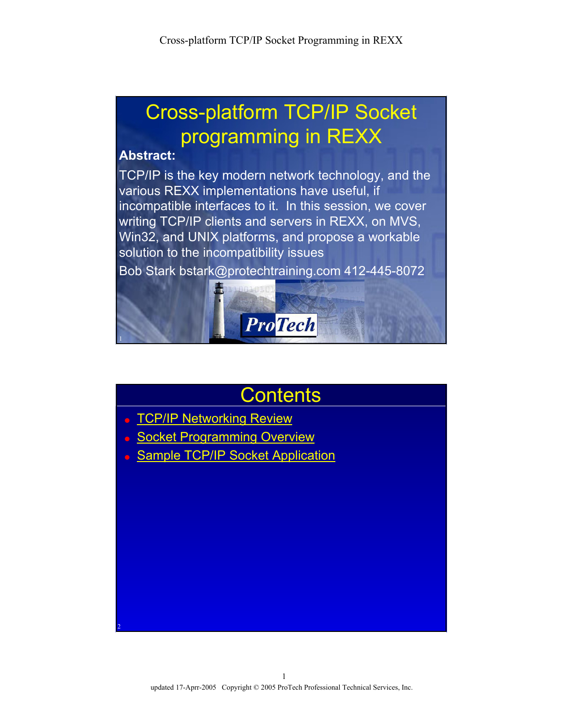# Cross-platform TCP/IP Socket programming in REXX

#### **Abstract:**

2

TCP/IP is the key modern network technology, and the various REXX implementations have useful, if incompatible interfaces to it. In this session, we cover writing TCP/IP clients and servers in REXX, on MVS, Win32, and UNIX platforms, and propose a workable solution to the incompatibility issues

Bob Stark bstark@protechtraining.com 412-445-8072



## **Contents**

- TCP/IP Networking Review
- **Socket Programming Overview**
- **Sample TCP/IP Socket Application**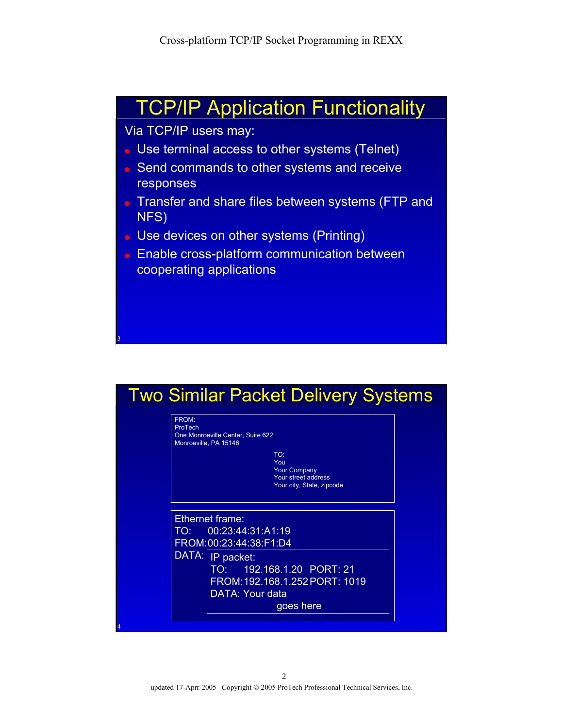### TCP/IP Application Functionality

#### Via TCP/IP users may:

3

- Use terminal access to other systems (Telnet)
- Send commands to other systems and receive responses
- Transfer and share files between systems (FTP and NFS)
- Use devices on other systems (Printing)
- Enable cross-platform communication between cooperating applications

#### Two Similar Packet Delivery Systems

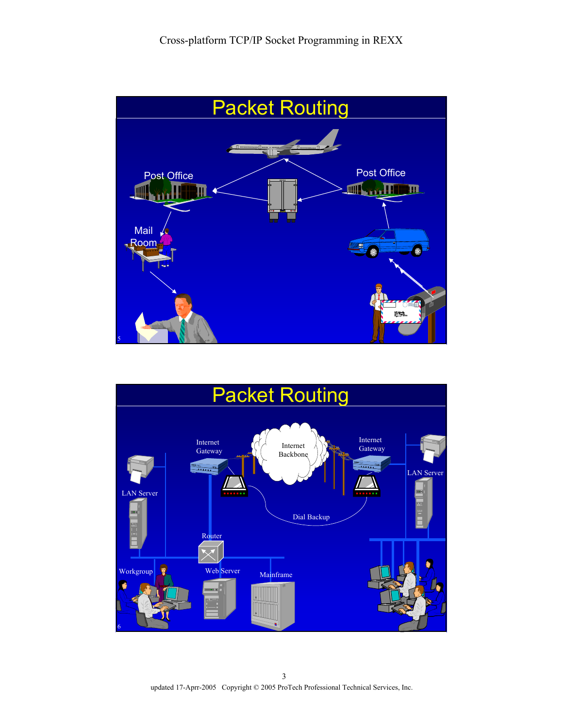



updated 17-Aprr-2005 Copyright © 2005 ProTech Professional Technical Services, Inc.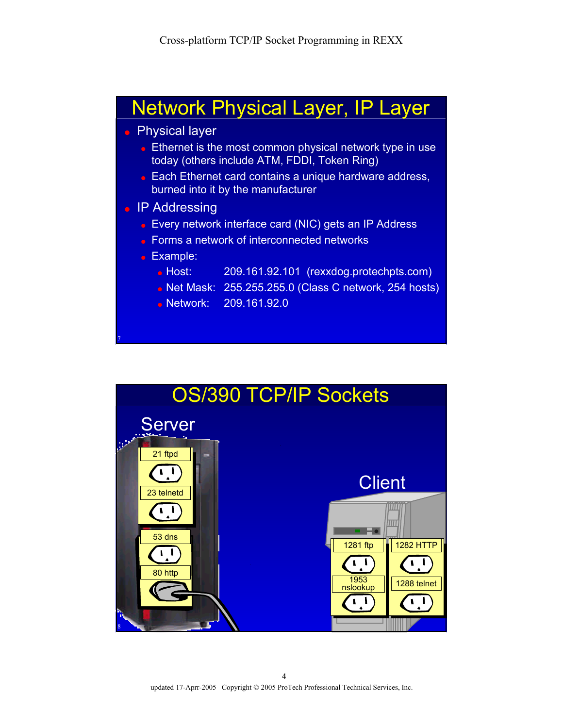



updated 17-Aprr-2005 Copyright © 2005 ProTech Professional Technical Services, Inc.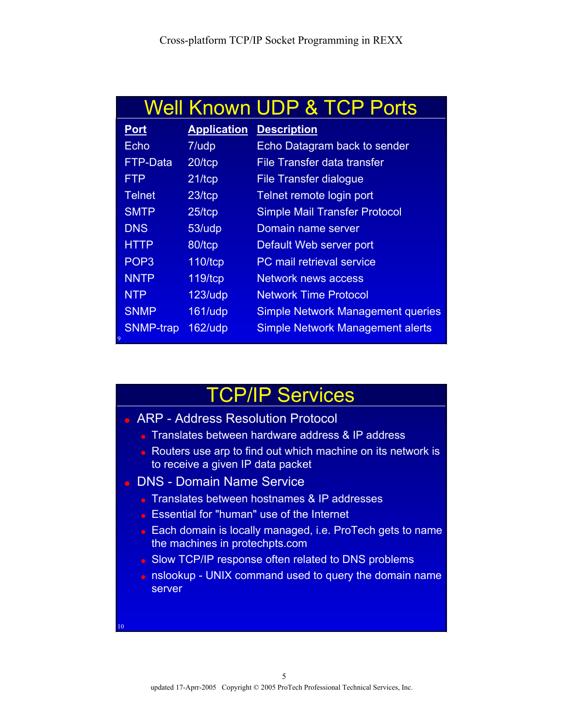|                  |                    | <b>Well Known UDP &amp; TCP Ports</b>    |
|------------------|--------------------|------------------------------------------|
| <b>Port</b>      | <b>Application</b> | <b>Description</b>                       |
| Echo             | 7/udp              | Echo Datagram back to sender             |
| FTP-Data         | 20/tcp             | File Transfer data transfer              |
| <b>FTP</b>       | $21$ /tcp          | File Transfer dialogue                   |
| <b>Telnet</b>    | 23/tcp             | Telnet remote login port                 |
| <b>SMTP</b>      | 25/tcp             | <b>Simple Mail Transfer Protocol</b>     |
| <b>DNS</b>       | 53/udp             | Domain name server                       |
| <b>HTTP</b>      | 80/tcp             | Default Web server port                  |
| POP <sub>3</sub> | 110/tcp            | PC mail retrieval service                |
| <b>NNTP</b>      | 119/tcp            | <b>Network news access</b>               |
| <b>NTP</b>       | $123/$ udp         | <b>Network Time Protocol</b>             |
| <b>SNMP</b>      | 161/udp            | <b>Simple Network Management queries</b> |
| SNMP-trap<br>9   | $162/$ udp         | <b>Simple Network Management alerts</b>  |

## TCP/IP Services

- ARP Address Resolution Protocol
	- Translates between hardware address & IP address
	- Routers use arp to find out which machine on its network is to receive a given IP data packet
- DNS Domain Name Service

10

- **Translates between hostnames & IP addresses**
- Essential for "human" use of the Internet
- Each domain is locally managed, i.e. ProTech gets to name the machines in protechpts.com
- Slow TCP/IP response often related to DNS problems
- nslookup UNIX command used to query the domain name server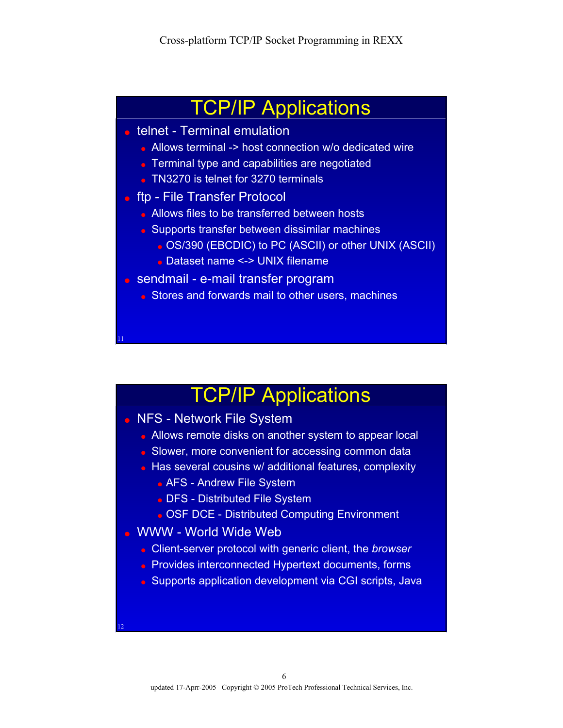### TCP/IP Applications

- telnet Terminal emulation
	- Allows terminal -> host connection w/o dedicated wire
	- Terminal type and capabilities are negotiated
	- TN3270 is telnet for 3270 terminals
- ftp File Transfer Protocol
	- Allows files to be transferred between hosts
	- Supports transfer between dissimilar machines
		- OS/390 (EBCDIC) to PC (ASCII) or other UNIX (ASCII)
		- Dataset name <-> UNIX filename
- sendmail e-mail transfer program
	- Stores and forwards mail to other users, machines

# TCP/IP Applications

#### • NFS - Network File System

11

12

- Allows remote disks on another system to appear local
- Slower, more convenient for accessing common data
- Has several cousins w/ additional features, complexity
	- AFS Andrew File System
	- DFS Distributed File System
	- OSF DCE Distributed Computing Environment
- WWW World Wide Web
	- Client-server protocol with generic client, the *browser*
	- Provides interconnected Hypertext documents, forms
	- Supports application development via CGI scripts, Java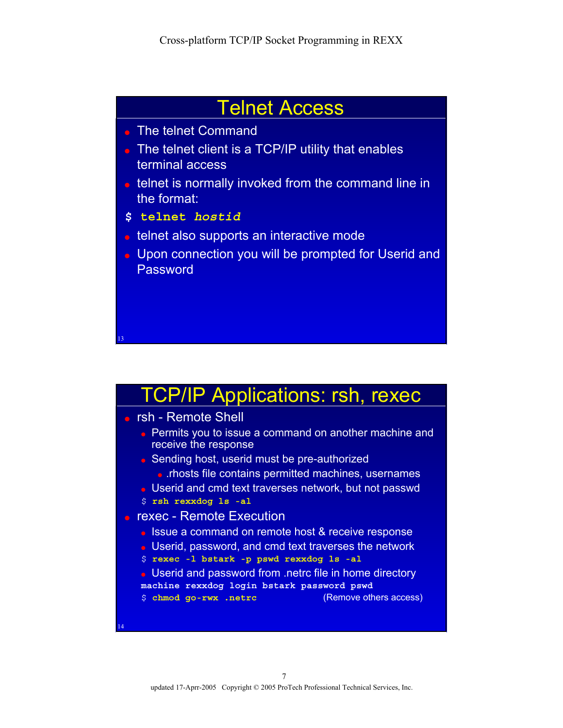### Telnet Access

- The telnet Command
- The telnet client is a TCP/IP utility that enables terminal access
- telnet is normally invoked from the command line in the format:
- **\$ telnet** *hostid*
- telnet also supports an interactive mode
- Upon connection you will be prompted for Userid and Password

# **TCP/IP Applications: rsh, rexec**

● rsh - Remote Shell

13

14

- Permits you to issue a command on another machine and receive the response
- Sending host, userid must be pre-authorized • .rhosts file contains permitted machines, usernames
- Userid and cmd text traverses network, but not passwd
- \$ **rsh rexxdog ls -al**
- rexec Remote Execution
	- Issue a command on remote host & receive response
	- Userid, password, and cmd text traverses the network
	- \$ **rexec -l bstark -p pswd rexxdog ls -al**
	- Userid and password from .netrc file in home directory **machine rexxdog login bstark password pswd**
	- \$ **chmod go-rwx .netrc** (Remove others access)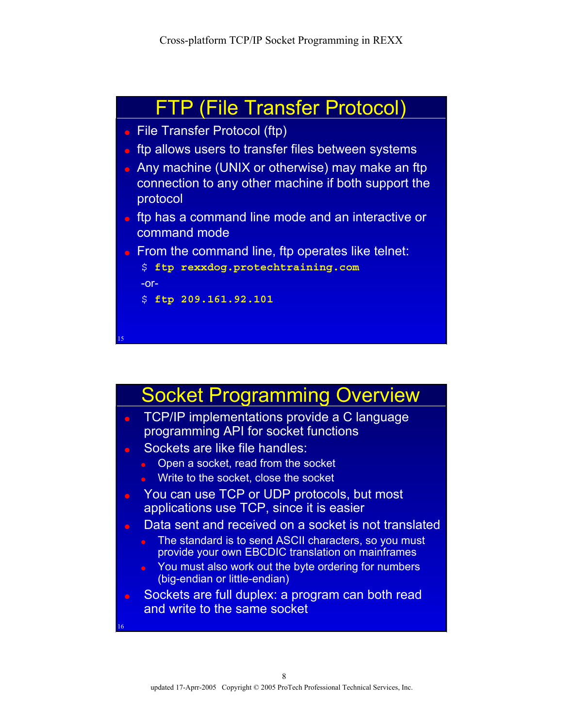

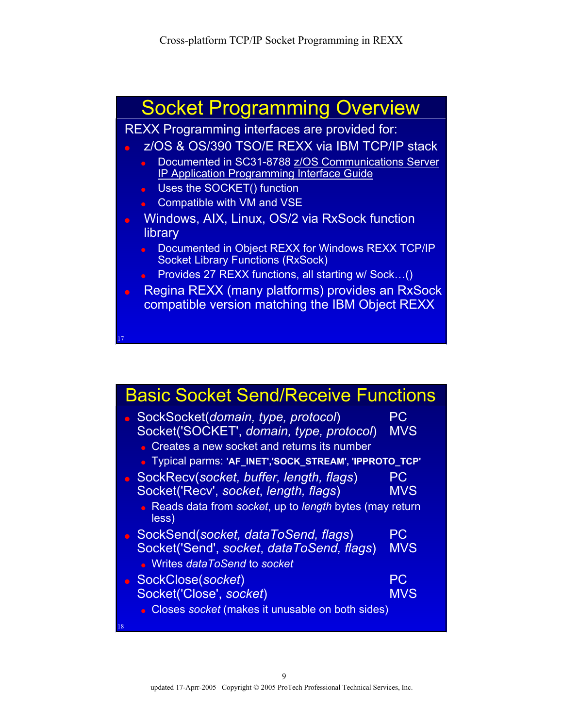

| <b>Basic Socket Send/Receive Functions</b>                                                                                    |                  |
|-------------------------------------------------------------------------------------------------------------------------------|------------------|
| SockSocket(domain, type, protocol)<br>Socket('SOCKET', domain, type, protocol)<br>Creates a new socket and returns its number | PC<br><b>MVS</b> |
| • Typical parms: 'AF_INET','SOCK_STREAM', 'IPPROTO_TCP'                                                                       |                  |
| SockRecv(socket, buffer, length, flags)<br>Socket('Recv', socket, length, flags)                                              | РC<br><b>MVS</b> |
| Reads data from socket, up to length bytes (may return<br>less)                                                               |                  |
| SockSend(socket, dataToSend, flags)<br>Socket('Send', socket, dataToSend, flags)<br>• Writes dataToSend to socket             | РC<br><b>MVS</b> |
| SockClose(socket)                                                                                                             | РC               |
| Socket('Close', socket)<br>Closes socket (makes it unusable on both sides)                                                    | <b>MVS</b>       |
| 18                                                                                                                            |                  |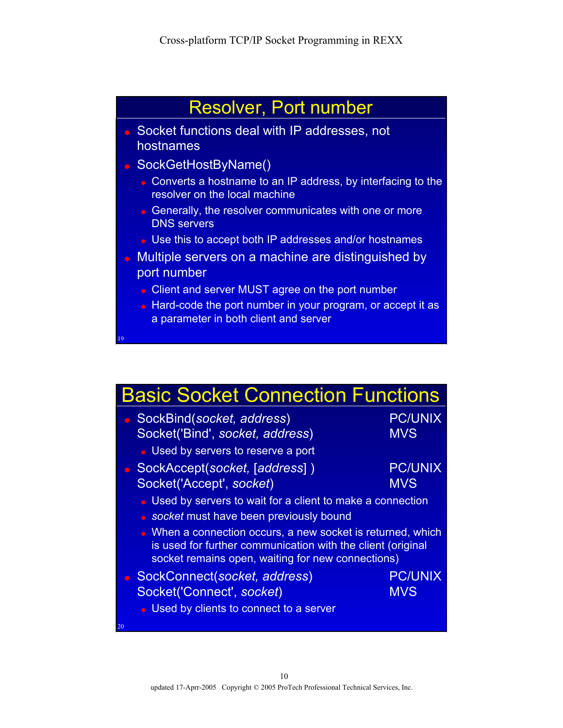

| <b>Basic Socket Connection Functions</b>                                                                                                                                        |                |  |  |
|---------------------------------------------------------------------------------------------------------------------------------------------------------------------------------|----------------|--|--|
| SockBind(socket, address)                                                                                                                                                       | <b>PC/UNIX</b> |  |  |
| Socket('Bind', socket, address)                                                                                                                                                 | <b>MVS</b>     |  |  |
| • Used by servers to reserve a port                                                                                                                                             |                |  |  |
| SockAccept(socket, [address])                                                                                                                                                   | <b>PC/UNIX</b> |  |  |
| Socket('Accept', socket)                                                                                                                                                        | <b>MVS</b>     |  |  |
| Used by servers to wait for a client to make a connection                                                                                                                       |                |  |  |
| socket must have been previously bound<br>$\blacksquare$                                                                                                                        |                |  |  |
| • When a connection occurs, a new socket is returned, which<br>is used for further communication with the client (original<br>socket remains open, waiting for new connections) |                |  |  |
| SockConnect(socket, address)                                                                                                                                                    | <b>PC/UNIX</b> |  |  |
| Socket('Connect', socket)                                                                                                                                                       | <b>MVS</b>     |  |  |
| Used by clients to connect to a server                                                                                                                                          |                |  |  |
| 20                                                                                                                                                                              |                |  |  |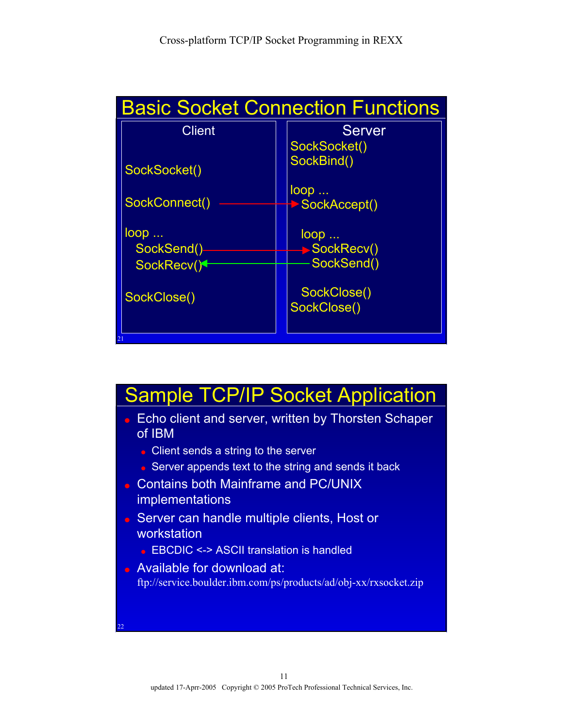

## Sample TCP/IP Socket Application

- Echo client and server, written by Thorsten Schaper of IBM
	- Client sends a string to the server
	- Server appends text to the string and sends it back
- Contains both Mainframe and PC/UNIX **implementations**
- Server can handle multiple clients, Host or workstation
	- $\bullet$  EBCDIC <-> ASCII translation is handled

22

• Available for download at: ftp://service.boulder.ibm.com/ps/products/ad/obj-xx/rxsocket.zip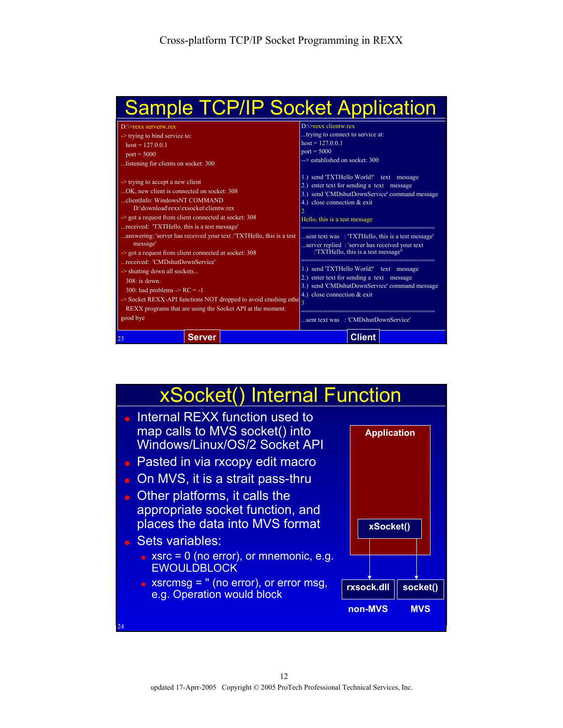